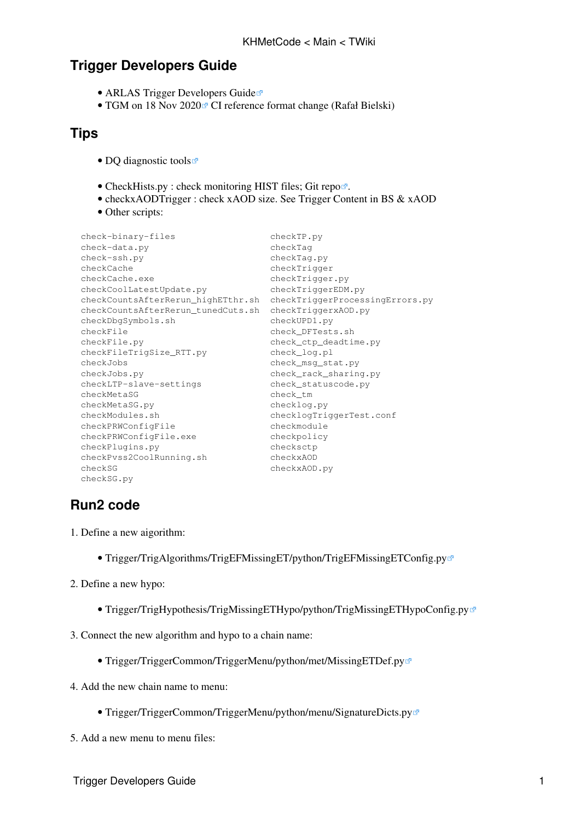## **Trigger Developers Guide**

- [ARLAS Trigger Developers Guide](https://atlassoftwaredocs.web.cern.ch/guides/trigger/)r
- TGM on 18 Nov 2020<sup>®</sup> CI reference format change (Rafał Bielski)

## **Tips**

- [DQ diagnostic tools](https://indico.cern.ch/event/700436/contributions/2889213/attachments/1599014/2534283/diagnosisUnmergedHIST2018.pdf) $\blacktriangleright$
- CheckHists.py : check monitoring HIST files; [Git repo](https://gitlab.cern.ch/fernando/AnalysisMonticel/tree/master/Analyises/Trigger/2018/CheckHists) $\mathbb{Z}$ .
- checkxAODTrigger : check xAOD size. See [Trigger Content in BS & xAOD](https://twiki.cern.ch/twiki/bin/view/Atlas/XAODContainerSizes)
- Other scripts:

# **Run2 code**

- 1. Define a new aigorithm:
	- [Trigger/TrigAlgorithms/TrigEFMissingET/python/TrigEFMissingETConfig.py](https://gitlab.cern.ch/atlas/athena/blob/21.3/Trigger/TrigAlgorithms/TrigEFMissingET/python/TrigEFMissingETConfig.py)
- 2. Define a new hypo:
	- [Trigger/TrigHypothesis/TrigMissingETHypo/python/TrigMissingETHypoConfig.py](https://gitlab.cern.ch/atlas/athena/blob/21.3/Trigger/TrigHypothesis/TrigMissingETHypo/python/TrigMissingETHypoConfig.py)
- 3. Connect the new algorithm and hypo to a chain name:
	- [Trigger/TriggerCommon/TriggerMenu/python/met/MissingETDef.py](https://gitlab.cern.ch/atlas/athena/blob/21.3/Trigger/TriggerCommon/TriggerMenu/python/met/MissingETDef.py)
- 4. Add the new chain name to menu:
	- [Trigger/TriggerCommon/TriggerMenu/python/menu/SignatureDicts.py](https://gitlab.cern.ch/atlas/athena/blob/21.3/Trigger/TriggerCommon/TriggerMenu/python/menu/SignatureDicts.py)
- 5. Add a new menu to menu files: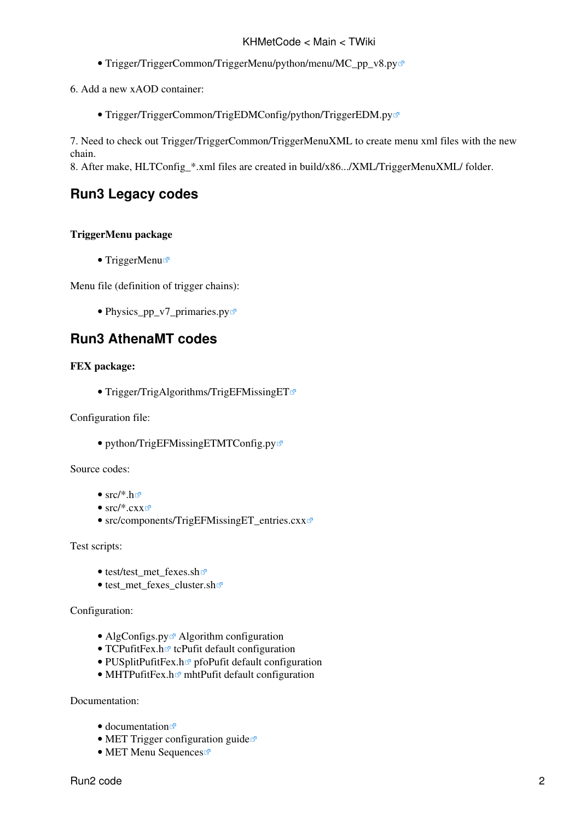- [Trigger/TriggerCommon/TriggerMenu/python/menu/MC\\_pp\\_v8.py](https://gitlab.cern.ch/atlas/athena/blob/21.3/Trigger/TriggerCommon/TriggerMenu/python/menu/MC_pp_v8.py)
- 6. Add a new xAOD container:
	- [Trigger/TriggerCommon/TrigEDMConfig/python/TriggerEDM.py](https://gitlab.cern.ch/atlas/athena/blob/21.3/Trigger/TriggerCommon/TrigEDMConfig/python/TriggerEDM.py)

7. Need to check out Trigger/TriggerCommon/TriggerMenuXML to create menu xml files with the new chain.

8. After make, HLTConfig \*.xml files are created in build/x86.../XML/TriggerMenuXML/ folder.

# **Run3 Legacy codes**

### **TriggerMenu package**

• [TriggerMenu](https://gitlab.cern.ch/atlas/athena/tree/master/Trigger/TriggerCommon/TriggerMenu)

Menu file (definition of trigger chains):

• Physics pp v7 primaries.py $\Phi$ 

## **Run3 AthenaMT codes**

### **FEX package:**

• [Trigger/TrigAlgorithms/TrigEFMissingET](https://gitlab.cern.ch/atlas/athena/tree/master/Trigger/TrigAlgorithms/TrigEFMissingET)

Configuration file:

• [python/TrigEFMissingETMTConfig.py](https://gitlab.cern.ch/atlas/athena/blob/master/Trigger/TrigAlgorithms/TrigEFMissingET/python/TrigEFMissingETMTConfig.py)

Source codes:

- $src/*.h$
- $src/*$ . $cx \overline{x}$
- [src/components/TrigEFMissingET\\_entries.cxx](https://gitlab.cern.ch/atlas/athena/blob/master/Trigger/TrigAlgorithms/TrigEFMissingET/src/components/TrigEFMissingET_entries.cxx)

Test scripts:

- [test/test\\_met\\_fexes.sh](https://gitlab.cern.ch/atlas/athena/blob/master/Trigger/TrigAlgorithms/TrigEFMissingET/test/test_met_fexes.sh)
- test met fexes cluster.sh $\Phi$

Configuration:

- [AlgConfigs.py](https://gitlab.cern.ch/atlas/athena/-/blob/master/Trigger/TriggerCommon/TriggerMenuMT/python/HLTMenuConfig/MET/AlgConfigs.py) $\blacktriangleright$  Algorithm configuration
- TCPufitFex.h $\Phi$  tcPufit default configuration
- [PUSplitPufitFex.h](https://gitlab.cern.ch/atlas/athena/-/blob/master/Trigger/TrigAlgorithms/TrigEFMissingET/src/PUSplitPufitFex.h) $\Phi$  pfoPufit default configuration
- MHTPufitFex.h $\Phi$  mhtPufit default configuration

Documentation:

- [documentation](https://gitlab.cern.ch/atlas/athena/-/tree/master/Trigger/TrigAlgorithms/TrigEFMissingET/doc) $\mathbb{F}$
- [MET Trigger configuration guide](https://gitlab.cern.ch/atlas/athena/-/blob/master/Trigger/TrigAlgorithms/TrigEFMissingET/doc/met_configuration.md)
- [MET Menu Sequences](https://gitlab.cern.ch/atlas/athena/-/blob/master/Trigger/TrigAlgorithms/TrigEFMissingET/doc/METMenuSequences.md)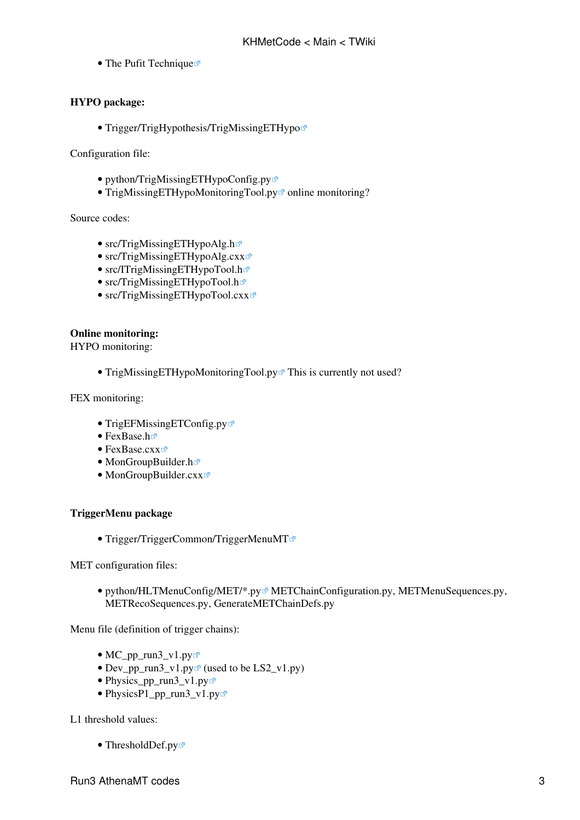• [The Pufit Technique](https://gitlab.cern.ch/atlas/athena/-/blob/master/Trigger/TrigAlgorithms/TrigEFMissingET/doc/pufit.md) $\vec{r}$ 

### **HYPO package:**

• [Trigger/TrigHypothesis/TrigMissingETHypo](https://gitlab.cern.ch/atlas/athena/tree/master/Trigger/TrigHypothesis/TrigMissingETHypo) $\Phi$ 

Configuration file:

- [python/TrigMissingETHypoConfig.py](https://gitlab.cern.ch/atlas/athena/blob/master/Trigger/TrigHypothesis/TrigMissingETHypo/python/TrigMissingETHypoConfig.py) $\Phi$
- [TrigMissingETHypoMonitoringTool.py](https://gitlab.cern.ch/atlas/athena/blob/master/Trigger/TrigHypothesis/TrigMissingETHypo/python/TrigMissingETHypoMonitoringTool.py) $\Phi$  online monitoring?

Source codes:

- [src/TrigMissingETHypoAlg.h](https://gitlab.cern.ch/atlas/athena/blob/master/Trigger/TrigHypothesis/TrigMissingETHypo/src/TrigMissingETHypoAlg.h)
- [src/TrigMissingETHypoAlg.cxx](https://gitlab.cern.ch/atlas/athena/blob/master/Trigger/TrigHypothesis/TrigMissingETHypo/src/TrigMissingETHypoAlg.cxx) $\vec{z}$
- [src/ITrigMissingETHypoTool.h](https://gitlab.cern.ch/atlas/athena/blob/master/Trigger/TrigHypothesis/TrigMissingETHypo/src/ITrigMissingETHypoTool.h)
- $src/T$ rigMissingETHypoTool.h $\Phi$
- [src/TrigMissingETHypoTool.cxx](https://gitlab.cern.ch/atlas/athena/blob/master/Trigger/TrigHypothesis/TrigMissingETHypo/src/TrigMissingETHypoTool.cxx)

### **Online monitoring:**

HYPO monitoring:

• [TrigMissingETHypoMonitoringTool.py](https://gitlab.cern.ch/atlas/athena/blob/master/Trigger/TrigHypothesis/TrigMissingETHypo/python/TrigMissingETHypoMonitoringTool.py)<sup>*R*</sup> This is currently not used?

FEX monitoring:

- [TrigEFMissingETConfig.py](https://gitlab.cern.ch/atlas/athena/-/blob/master/Trigger/TrigAlgorithms/TrigEFMissingET/python/TrigEFMissingETConfig.py)
- [FexBase.h](https://gitlab.cern.ch/atlas/athena/-/blob/master/Trigger/TrigAlgorithms/TrigEFMissingET/src/FexBase.h)r
- [FexBase.cxx](https://gitlab.cern.ch/atlas/athena/-/blob/master/Trigger/TrigAlgorithms/TrigEFMissingET/src/FexBase.cxx)
- [MonGroupBuilder.h](https://gitlab.cern.ch/atlas/athena/-/blob/master/Trigger/TrigAlgorithms/TrigEFMissingET/src/MonGroupBuilder.h)<sup>®</sup>
- [MonGroupBuilder.cxx](https://gitlab.cern.ch/atlas/athena/-/blob/master/Trigger/TrigAlgorithms/TrigEFMissingET/src/MonGroupBuilder.cxx)

#### **TriggerMenu package**

• [Trigger/TriggerCommon/TriggerMenuMT](https://gitlab.cern.ch/atlas/athena/tree/master/Trigger/TriggerCommon/TriggerMenuMT)

MET configuration files:

• [python/HLTMenuConfig/MET/\\*.py](https://gitlab.cern.ch/atlas/athena/tree/master/Trigger/TriggerCommon/TriggerMenuMT/python/HLTMenuConfig/MET)<sup>&</sup> METChainConfiguration.py, METMenuSequences.py, METRecoSequences.py, GenerateMETChainDefs.py

Menu file (definition of trigger chains):

- [MC\\_pp\\_run3\\_v1.py](https://gitlab.cern.ch/atlas/athena/-/blob/master/Trigger/TriggerCommon/TriggerMenuMT/python/HLT/Menu/MC_pp_run3_v1.py) $\Phi$
- [Dev\\_pp\\_run3\\_v1.py](https://gitlab.cern.ch/atlas/athena/blob/master/Trigger/TriggerCommon/TriggerMenuMT/python/HLT/Menu/Dev_pp_run3_v1.py) $\blacktriangleright$  (used to be LS2\_v1.py)
- [Physics\\_pp\\_run3\\_v1.py](https://gitlab.cern.ch/atlas/athena/blob/master/Trigger/TriggerCommon/TriggerMenuMT/python/HLT/Menu/Physics_pp_run3_v1.py) $\sqrt{a}$
- [PhysicsP1\\_pp\\_run3\\_v1.py](https://gitlab.cern.ch/atlas/athena/blob/master/Trigger/TriggerCommon/TriggerMenuMT/python/HLT/Menu/PhysicsP1_pp_run3_v1.py)

L1 threshold values:

• [ThresholdDef.py](https://gitlab.cern.ch/atlas/athena/-/blob/release/22.0.60/Trigger/TriggerCommon/TriggerMenuMT/python/L1/Config/ThresholdDef.py#L256)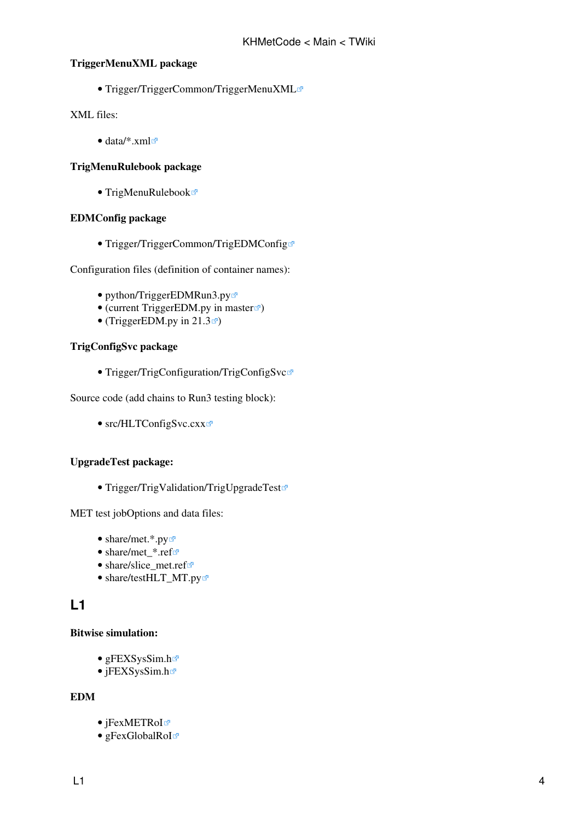### **TriggerMenuXML package**

• [Trigger/TriggerCommon/TriggerMenuXML](https://gitlab.cern.ch/atlas/athena/tree/master/Trigger/TriggerCommon/TriggerMenuXML)

XML files:

• data/ $*$ .xml $\blacksquare$ 

### **TrigMenuRulebook package**

• [TrigMenuRulebook](https://gitlab.cern.ch/atlas-trigger-menu/TrigMenuRulebook)

### **EDMConfig package**

• [Trigger/TriggerCommon/TrigEDMConfig](https://gitlab.cern.ch/atlas/athena/blob/master/Trigger/TriggerCommon/TrigEDMConfig)@

Configuration files (definition of container names):

- [python/TriggerEDMRun3.py](https://gitlab.cern.ch/atlas/athena/blob/master/Trigger/TriggerCommon/TrigEDMConfig/python/TriggerEDMRun3.py)
- ([current TriggerEDM.py in master](https://gitlab.cern.ch/atlas/athena/blob/master/Trigger/TriggerCommon/TrigEDMConfig/python/TriggerEDM.py)  $\Phi$ )
- (TriggerEDM.py in  $21.3 \text{ m}$ )

### **TrigConfigSvc package**

• [Trigger/TrigConfiguration/TrigConfigSvc](https://gitlab.cern.ch/atlas/athena/blob/master/Trigger/TrigConfiguration/TrigConfigSvc)

Source code (add chains to Run3 testing block):

• [src/HLTConfigSvc.cxx](https://gitlab.cern.ch/atlas/athena/blob/master/Trigger/TrigConfiguration/TrigConfigSvc/src/HLTConfigSvc.cxx) $\mathbb{F}$ 

#### **UpgradeTest package:**

• [Trigger/TrigValidation/TrigUpgradeTest](https://gitlab.cern.ch/atlas/athena/tree/master/Trigger/TrigValidation/TrigUpgradeTest)<sup>®</sup>

MET test jobOptions and data files:

- [share/met.\\*.py](https://gitlab.cern.ch/atlas/athena/blob/master/Trigger/TrigValidation/TrigUpgradeTest/share) $\blacksquare$
- [share/met\\_\\*.ref](https://gitlab.cern.ch/atlas/athena/blob/master/Trigger/TrigValidation/TrigUpgradeTest/share) $\overline{z}$
- [share/slice\\_met.ref](https://gitlab.cern.ch/atlas/athena/blob/master/Trigger/TrigValidation/TrigUpgradeTest/share/slice_met.ref)
- [share/testHLT\\_MT.py](https://gitlab.cern.ch/atlas/athena/blob/master/Trigger/TrigValidation/TrigUpgradeTest/share/testHLT_MT.py)

### **L1**

#### **Bitwise simulation:**

- [gFEXSysSim.h](https://gitlab.cern.ch/atlas/athena/-/blob/master/Trigger/TrigT1/L1CaloFEX/L1CaloFEXSim/L1CaloFEXSim/gFEXSysSim.h)
- [jFEXSysSim.h](https://gitlab.cern.ch/atlas/athena/-/blob/master/Trigger/TrigT1/L1CaloFEX/L1CaloFEXSim/L1CaloFEXSim/jFEXSysSim.h)<sup>ø</sup>

### **EDM**

- [jFexMETRoI](https://gitlab.cern.ch/atlas/athena/-/blob/master/Event/xAOD/xAODTrigger/Root/jFexMETRoI_v1.cxx)<sup>®</sup>
- [gFexGlobalRoI](https://gitlab.cern.ch/atlas/athena/-/blob/master/Event/xAOD/xAODTrigger/Root/gFexGlobalRoI_v1.cx)<sup>®</sup>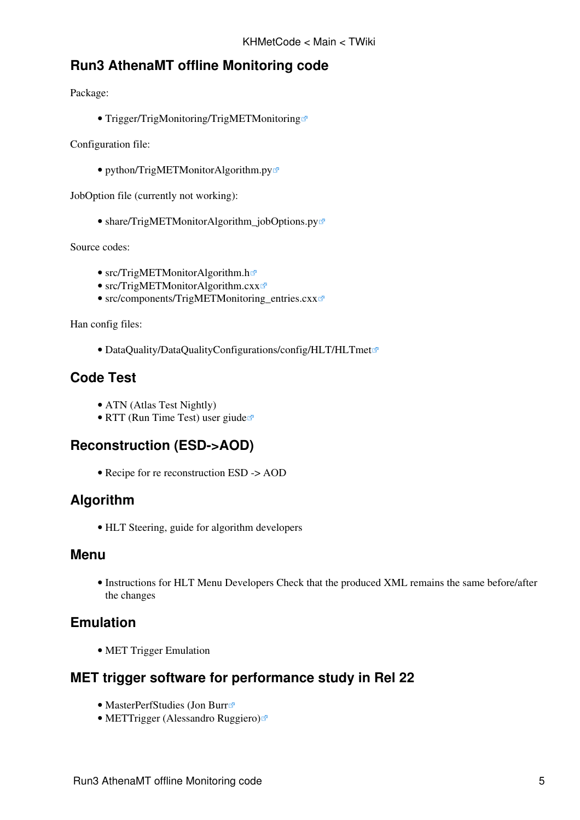# **Run3 AthenaMT offline Monitoring code**

Package:

• [Trigger/TrigMonitoring/TrigMETMonitoring](https://gitlab.cern.ch/atlas/athena/tree/master/Trigger/TrigMonitoring/TrigMETMonitoring)

Configuration file:

• [python/TrigMETMonitorAlgorithm.py](https://gitlab.cern.ch/atlas/athena/blob/master/Trigger/TrigMonitoring/TrigMETMonitoring/python/TrigMETMonitorAlgorithm.py)

JobOption file (currently not working):

• [share/TrigMETMonitorAlgorithm\\_jobOptions.py](https://gitlab.cern.ch/atlas/athena/blob/master/Trigger/TrigMonitoring/TrigMETMonitoring/share/TrigMETMonitorAlgorithm_jobOptions.py)

Source codes:

- [src/TrigMETMonitorAlgorithm.h](https://gitlab.cern.ch/atlas/athena/blob/master/Trigger/TrigMonitoring/TrigMETMonitoring/src/TrigMETMonitorAlgorithm.h)
- [src/TrigMETMonitorAlgorithm.cxx](https://gitlab.cern.ch/atlas/athena/blob/master/Trigger/TrigMonitoring/TrigMETMonitoring/src/TrigMETMonitorAlgorithm.cxx)
- [src/components/TrigMETMonitoring\\_entries.cxx](https://gitlab.cern.ch/atlas/athena/blob/master/Trigger/TrigMonitoring/TrigMETMonitoring/src/components/TrigMETMonitoring_entries.cxx)

Han config files:

• [DataQuality/DataQualityConfigurations/config/HLT/HLTmet](https://gitlab.cern.ch/atlas/athena/-/tree/master/DataQuality/DataQualityConfigurations/config/HLT/HLTmet)

## **Code Test**

- [ATN \(Atlas Test Nightly\)](https://twiki.cern.ch/twiki/bin/viewauth/AtlasComputing/ATNightTesting)
- [RTT \(Run Time Test\) user giude](https://atlas-rtt.cern.ch/prod/docs/userguide/)<sup>®</sup>

## **Reconstruction (ESD->AOD)**

• [Recipe for re reconstruction](https://twiki.cern.ch/twiki/bin/viewauth/AtlasComputing/RecoReReconstruction) ESD -> AOD

### **Algorithm**

• [HLT Steering, guide for algorithm developers](https://twiki.cern.ch/twiki/bin/viewauth/Atlas/HltAlgorithmDeveloperGuide)

### **Menu**

• [Instructions for HLT Menu Developers](https://twiki.cern.ch/twiki/bin/viewauth/Atlas/TriggerMenuPackageInstructions#Instructions_for_HLT_Menu_Develo) Check that the produced XML remains the same before/after the changes

## **Emulation**

• [MET Trigger Emulation](https://twiki.cern.ch/twiki/bin/viewauth/Atlas/METTriggerEmulation)

## **MET trigger software for performance study in Rel 22**

- [MasterPerfStudies \(Jon Burr](https://gitlab.cern.ch/jburr/masterperfstudies)
- [METTrigger \(Alessandro Ruggiero\)](https://gitlab.cern.ch/alruggie/METTrigger)<sup>®</sup>